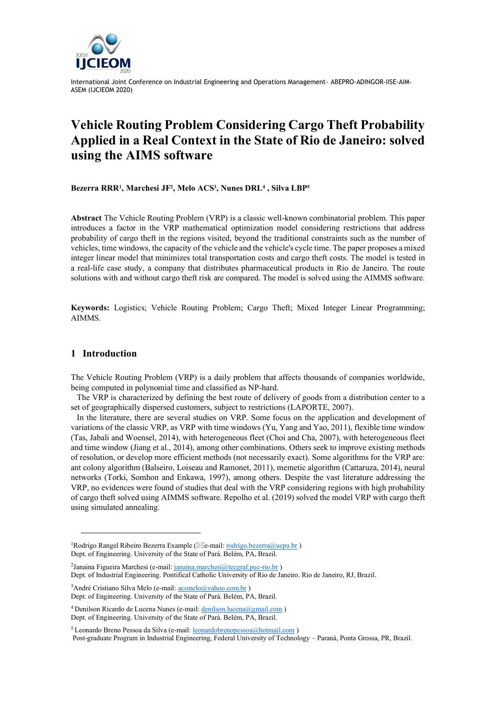

# **Vehicle Routing Problem Considering Cargo Theft Probability Applied in a Real Context in the State of Rio de Janeiro: solved using the AIMS software**

**Bezerra RRR<sup>1</sup> , Marchesi JF<sup>2</sup> , Melo ACS<sup>3</sup> , Nunes DRL<sup>4</sup> , Silva LBP<sup>5</sup>**

**Abstract** The Vehicle Routing Problem (VRP) is a classic well-known combinatorial problem. This paper introduces a factor in the VRP mathematical optimization model considering restrictions that address probability of cargo theft in the regions visited, beyond the traditional constraints such as the number of vehicles, time windows, the capacity of the vehicle and the vehicle's cycle time. The paper proposes a mixed integer linear model that minimizes total transportation costs and cargo theft costs. The model is tested in a real-life case study, a company that distributes pharmaceutical products in Rio de Janeiro. The route solutions with and without cargo theft risk are compared. The model is solved using the AIMMS software.

**Keywords:** Logistics; Vehicle Routing Problem; Cargo Theft; Mixed Integer Linear Programming; AIMMS.

## **1 Introduction**

The Vehicle Routing Problem (VRP) is a daily problem that affects thousands of companies worldwide, being computed in polynomial time and classified as NP-hard.

The VRP is characterized by defining the best route of delivery of goods from a distribution center to a set of geographically dispersed customers, subject to restrictions (LAPORTE, 2007).

In the literature, there are several studies on VRP. Some focus on the application and development of variations of the classic VRP, as VRP with time windows (Yu, Yang and Yao, 2011), flexible time window (Tas, Jabali and Woensel, 2014), with heterogeneous fleet (Choi and Cha, 2007), with heterogeneous fleet and time window (Jiang et al., 2014), among other combinations. Others seek to improve existing methods of resolution, or develop more efficient methods (not necessarily exact). Some algorithms for the VRP are: ant colony algorithm (Balseiro, Loiseau and Ramonet, 2011), memetic algorithm (Cattaruza, 2014), neural networks (Torki, Somhon and Enkawa, 1997), among others. Despite the vast literature addressing the VRP, no evidences were found of studies that deal with the VRP considering regions with high probability of cargo theft solved using AIMMS software. Repolho et al. (2019) solved the model VRP with cargo theft using simulated annealing.

<sup>3</sup>André Cristiano Silva Melo (e-mail: [acsmelo@yahoo.com.br](mailto:acsmelo@yahoo.com.br)) Dept. of Engineering. University of the State of Pará. Belém, PA, Brazil.

<sup>&</sup>lt;sup>1</sup>Rodrigo Rangel Ribeiro Bezerra Example ( $\boxtimes$ e-mail: [rodrigo.bezerra@uepa.br](mailto:rodrigo.bezerra@uepa.br)) Dept. of Engineering. University of the State of Pará. Belém, PA, Brazil.

<sup>&</sup>lt;sup>2</sup> Janaina Figueira Marchesi (e-mail: [janaina.marchesi@tecgraf.puc-rio.br](mailto:janaina.marchesi@tecgraf.puc-rio.br)) Dept. of Industrial Engineering. Pontifical Catholic University of Rio de Janeiro. Rio de Janeiro, RJ, Brazil.

<sup>&</sup>lt;sup>4</sup> Denilson Ricardo de Lucena Nunes (e-mail[: denilson.lucena@gmail.com](mailto:denilson.lucena@gmail.com)) Dept. of Engineering. University of the State of Pará. Belém, PA, Brazil.

<sup>&</sup>lt;sup>5</sup> Leonardo Breno Pessoa da Silva (e-mail[: leonardobrenopessoa@hotmail.com](mailto:leonardobrenopessoa@hotmail.com))

Post-graduate Program in Industrial Engineering, Federal University of Technology – Paraná, Ponta Grossa, PR, Brazil.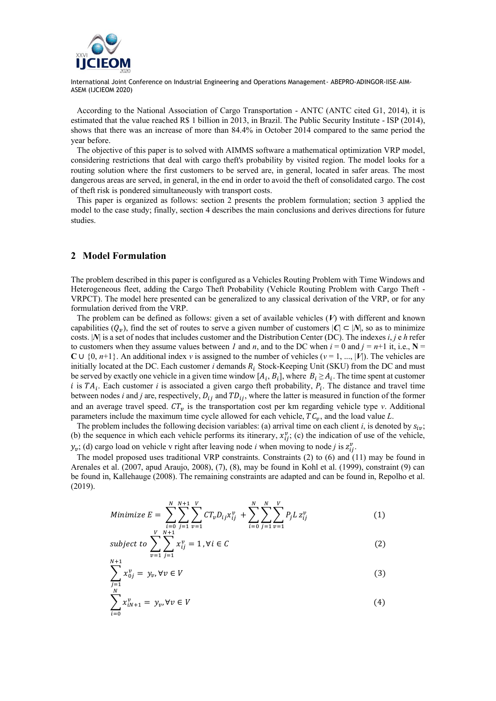

According to the National Association of Cargo Transportation - ANTC (ANTC cited G1, 2014), it is estimated that the value reached R\$ 1 billion in 2013, in Brazil. The Public Security Institute - ISP (2014), shows that there was an increase of more than 84.4% in October 2014 compared to the same period the year before.

The objective of this paper is to solved with AIMMS software a mathematical optimization VRP model, considering restrictions that deal with cargo theft's probability by visited region. The model looks for a routing solution where the first customers to be served are, in general, located in safer areas. The most dangerous areas are served, in general, in the end in order to avoid the theft of consolidated cargo. The cost of theft risk is pondered simultaneously with transport costs.

This paper is organized as follows: section 2 presents the problem formulation; section 3 applied the model to the case study; finally, section 4 describes the main conclusions and derives directions for future studies.

#### **2 Model Formulation**

The problem described in this paper is configured as a Vehicles Routing Problem with Time Windows and Heterogeneous fleet, adding the Cargo Theft Probability (Vehicle Routing Problem with Cargo Theft - VRPCT). The model here presented can be generalized to any classical derivation of the VRP, or for any formulation derived from the VRP.

The problem can be defined as follows: given a set of available vehicles (*V*) with different and known capabilities  $(Q_v)$ , find the set of routes to serve a given number of customers  $|C| \subset |N|$ , so as to minimize costs. |*N*| is a set of nodes that includes customer and the Distribution Center (DC). The indexes *i*, *j* e *h* refer to customers when they assume values between *1* and *n*, and to the DC when  $i = 0$  and  $j = n+1$  it, i.e.,  $N =$ **C** ∪ {0, *n*+1}. An additional index *v* is assigned to the number of vehicles ( $v = 1, ..., |V|$ ). The vehicles are initially located at the DC. Each customer  $i$  demands  $R_i$  Stock-Keeping Unit (SKU) from the DC and must be served by exactly one vehicle in a given time window  $[A_i, B_i]$ , where  $B_i \ge A_i$ . The time spent at customer i is  $TA_i$ . Each customer *i* is associated a given cargo theft probability,  $P_i$ . The distance and travel time between nodes *i* and *j* are, respectively,  $D_{ij}$  and  $TD_{ij}$ , where the latter is measured in function of the former and an average travel speed.  $CT_v$  is the transportation cost per km regarding vehicle type  $v$ . Additional parameters include the maximum time cycle allowed for each vehicle,  $TC_v$ , and the load value  $L$ .

The problem includes the following decision variables: (a) arrival time on each client *i*, is denoted by  $s_{iv}$ ; (b) the sequence in which each vehicle performs its itinerary,  $x_{ij}^v$ ; (c) the indication of use of the vehicle,  $y_v$ ; (d) cargo load on vehicle v right after leaving node *i* when moving to node *j* is  $z_{ij}^v$ .

The model proposed uses traditional VRP constraints. Constraints (2) to (6) and (11) may be found in Arenales et al. (2007, apud Araujo, 2008), (7), (8), may be found in Kohl et al. (1999), constraint (9) can be found in, Kallehauge (2008). The remaining constraints are adapted and can be found in, Repolho et al. (2019).

Minimize 
$$
E = \sum_{i=0}^{N} \sum_{j=1}^{N+1} \sum_{\nu=1}^{V} CT_{\nu}D_{ij}x_{ij}^{\nu} + \sum_{i=0}^{N} \sum_{j=1}^{N} \sum_{\nu=1}^{V} P_{j}L z_{ij}^{\nu}
$$
 (1)

subject to 
$$
\sum_{v=1}^{V} \sum_{j=1}^{N+1} x_{ij}^v = 1, \forall i \in C
$$
 (2)

$$
\sum_{j=1}^{N+1} x_{0j}^{\nu} = y_{\nu}, \forall \nu \in V
$$
\n
$$
(3)
$$

$$
\sum_{i=0}^{N} x_{iN+1}^{v} = y_{v}, \forall v \in V
$$
\n(4)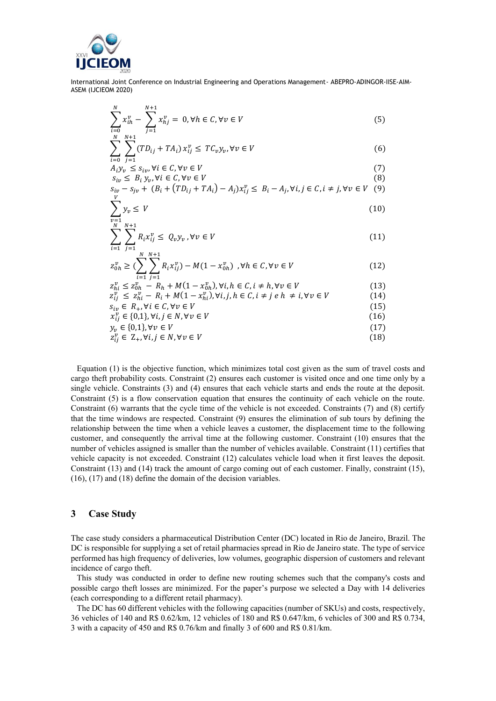

$$
\sum_{\substack{i=0 \ N \ N+1}}^{N} x_{ih}^{\nu} - \sum_{j=1}^{N+1} x_{hj}^{\nu} = 0, \forall h \in \mathcal{C}, \forall \nu \in V
$$
 (5)

$$
\sum_{i=0}^{N} \sum_{j=1}^{N} (TD_{ij} + TA_i) x_{ij}^v \le TC_v y_v, \forall v \in V
$$
\n
$$
(6)
$$

$$
A_i y_v \le s_{iv}, \forall i \in C, \forall v \in V
$$
  
\n
$$
s_{iv} \le B_i y_v, \forall i \in C, \forall v \in V
$$
\n(7)

$$
s_{iv} \leq B_i y_v, \forall i \in C, \forall v \in V
$$
  
\n
$$
s_{iv} - s_{jv} + (B_i + (TD_{ij} + TA_i) - A_j)x_{ij}^v \leq B_i - A_j, \forall i, j \in C, i \neq j, \forall v \in V
$$
 (9)

$$
\sum_{\substack{\nu=1 \ \nu \lambda \nu \lambda \nu}} y_{\nu} \le V \tag{10}
$$

$$
\sum_{i=1}^{N} \sum_{j=1}^{N+1} R_i x_{ij}^{\nu} \le Q_{\nu} y_{\nu}, \forall \nu \in V
$$
\n(11)

$$
z_{0h}^{v} \geq \left(\sum_{i=1}^{N} \sum_{j=1}^{N+1} R_{i} x_{ij}^{v}\right) - M(1 - x_{0h}^{v}) \quad \forall h \in C, \forall v \in V
$$
\n
$$
z_{hi}^{v} \leq z_{0h}^{v} - R_{h} + M(1 - x_{0h}^{v}) \quad \forall i, h \in C, i \neq h, \forall v \in V
$$
\n
$$
z_{ij}^{v} \leq z_{hi}^{v} - R_{i} + M(1 - x_{hi}^{v}) \quad \forall i, j, h \in C, i \neq j \in h \neq i, \forall v \in V
$$
\n(13)\n
$$
z_{ij}^{v} \leq z_{hi}^{v} - R_{i} + M(1 - x_{hi}^{v}) \quad \forall i, j, h \in C, i \neq j \in h \neq i, \forall v \in V
$$
\n(14)

$$
s_{iv} \in R_+ , \forall i \in C, \forall v \in V
$$
  
\n
$$
x_{ij}^v \in \{0,1\}, \forall i, j \in N, \forall v \in V
$$
  
\n
$$
y_v \in \{0,1\}, \forall v \in V
$$
  
\n
$$
z_{ij}^v \in Z_+, \forall i, j \in N, \forall v \in V
$$
  
\n(17)

Equation (1) is the objective function, which minimizes total cost given as the sum of travel costs and cargo theft probability costs. Constraint (2) ensures each customer is visited once and one time only by a single vehicle. Constraints (3) and (4) ensures that each vehicle starts and ends the route at the deposit. Constraint (5) is a flow conservation equation that ensures the continuity of each vehicle on the route. Constraint (6) warrants that the cycle time of the vehicle is not exceeded. Constraints (7) and (8) certify that the time windows are respected. Constraint (9) ensures the elimination of sub tours by defining the relationship between the time when a vehicle leaves a customer, the displacement time to the following customer, and consequently the arrival time at the following customer. Constraint (10) ensures that the number of vehicles assigned is smaller than the number of vehicles available. Constraint (11) certifies that vehicle capacity is not exceeded. Constraint (12) calculates vehicle load when it first leaves the deposit. Constraint (13) and (14) track the amount of cargo coming out of each customer. Finally, constraint (15), (16), (17) and (18) define the domain of the decision variables.

### **3 Case Study**

The case study considers a pharmaceutical Distribution Center (DC) located in Rio de Janeiro, Brazil. The DC is responsible for supplying a set of retail pharmacies spread in Rio de Janeiro state. The type of service performed has high frequency of deliveries, low volumes, geographic dispersion of customers and relevant incidence of cargo theft.

This study was conducted in order to define new routing schemes such that the company's costs and possible cargo theft losses are minimized. For the paper's purpose we selected a Day with 14 deliveries (each corresponding to a different retail pharmacy).

The DC has 60 different vehicles with the following capacities (number of SKUs) and costs, respectively, 36 vehicles of 140 and R\$ 0.62/km, 12 vehicles of 180 and R\$ 0.647/km, 6 vehicles of 300 and R\$ 0.734, 3 with a capacity of 450 and R\$ 0.76/km and finally 3 of 600 and R\$ 0.81/km.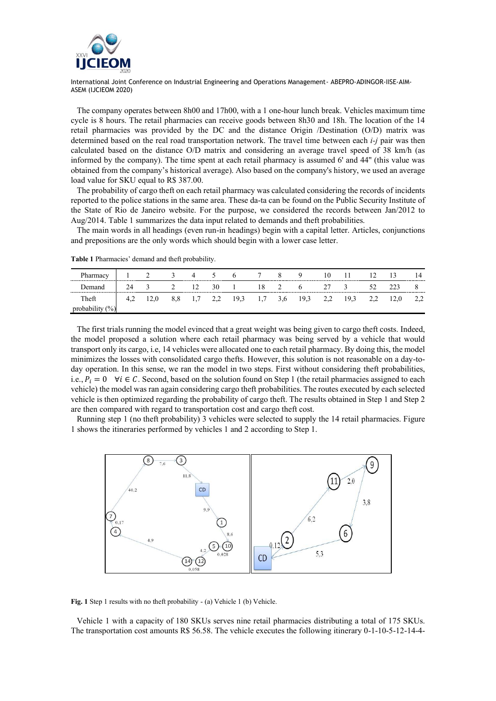

The company operates between 8h00 and 17h00, with a 1 one-hour lunch break. Vehicles maximum time cycle is 8 hours. The retail pharmacies can receive goods between 8h30 and 18h. The location of the 14 retail pharmacies was provided by the DC and the distance Origin /Destination (O/D) matrix was determined based on the real road transportation network. The travel time between each *i-j* pair was then calculated based on the distance O/D matrix and considering an average travel speed of 38 km/h (as informed by the company). The time spent at each retail pharmacy is assumed 6' and 44'' (this value was obtained from the company's historical average). Also based on the company's history, we used an average load value for SKU equal to R\$ 387.00.

The probability of cargo theft on each retail pharmacy was calculated considering the records of incidents reported to the police stations in the same area. These da-ta can be found on the Public Security Institute of the State of Rio de Janeiro website. For the purpose, we considered the records between Jan/2012 to Aug/2014. Table 1 summarizes the data input related to demands and theft probabilities.

The main words in all headings (even run-in headings) begin with a capital letter. Articles, conjunctions and prepositions are the only words which should begin with a lower case letter.

|                                       |    |      | $\frac{3}{2}$ |           | $4\quad 5$ | $6\overline{ }$ | 7    | 8 <sup>2</sup> | - Q<br>-------------------------------------- | 10 | -12 | 13   | 14  |
|---------------------------------------|----|------|---------------|-----------|------------|-----------------|------|----------------|-----------------------------------------------|----|-----|------|-----|
| Demand.<br>-------------------------- | 24 |      | $\gamma$      | $12 \t30$ |            |                 | - 18 | $\gamma$       | $\mathfrak{h}$                                | 27 | 52  |      |     |
| Theft                                 |    | 12.0 |               |           |            |                 |      |                | 8,8 1,7 2,2 19,3 1,7 3,6 19,3 2,2 19,3        |    |     | 12.0 | 2.2 |

**Table 1** Pharmacies' demand and theft probability.

The first trials running the model evinced that a great weight was being given to cargo theft costs. Indeed, the model proposed a solution where each retail pharmacy was being served by a vehicle that would transport only its cargo, i.e, 14 vehicles were allocated one to each retail pharmacy. By doing this, the model minimizes the losses with consolidated cargo thefts. However, this solution is not reasonable on a day-today operation. In this sense, we ran the model in two steps. First without considering theft probabilities, i.e.,  $P_i = 0$   $\forall i \in \mathcal{C}$ . Second, based on the solution found on Step 1 (the retail pharmacies assigned to each vehicle) the model was ran again considering cargo theft probabilities. The routes executed by each selected vehicle is then optimized regarding the probability of cargo theft. The results obtained in Step 1 and Step 2 are then compared with regard to transportation cost and cargo theft cost.

Running step 1 (no theft probability) 3 vehicles were selected to supply the 14 retail pharmacies. Figure 1 shows the itineraries performed by vehicles 1 and 2 according to Step 1.



Fig. 1 Step 1 results with no theft probability - (a) Vehicle 1 (b) Vehicle.

Vehicle 1 with a capacity of 180 SKUs serves nine retail pharmacies distributing a total of 175 SKUs. The transportation cost amounts R\$ 56.58. The vehicle executes the following itinerary 0-1-10-5-12-14-4-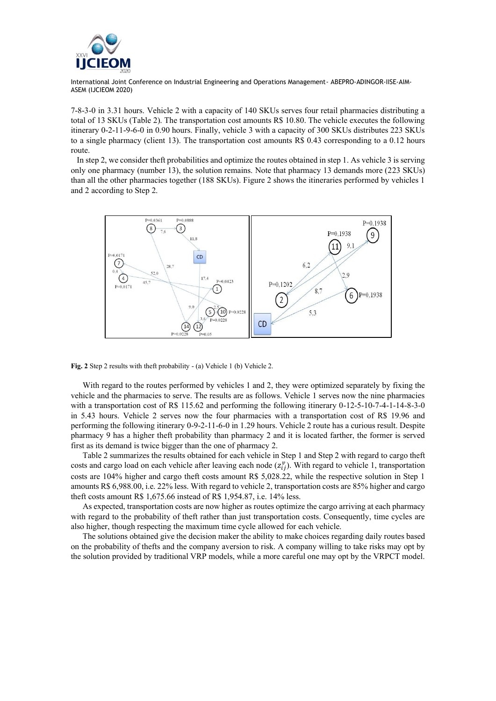

7-8-3-0 in 3.31 hours. Vehicle 2 with a capacity of 140 SKUs serves four retail pharmacies distributing a total of 13 SKUs (Table 2). The transportation cost amounts R\$ 10.80. The vehicle executes the following itinerary 0-2-11-9-6-0 in 0.90 hours. Finally, vehicle 3 with a capacity of 300 SKUs distributes 223 SKUs to a single pharmacy (client 13). The transportation cost amounts R\$ 0.43 corresponding to a 0.12 hours route.

In step 2, we consider theft probabilities and optimize the routes obtained in step 1. As vehicle 3 is serving only one pharmacy (number 13), the solution remains. Note that pharmacy 13 demands more (223 SKUs) than all the other pharmacies together (188 SKUs). Figure 2 shows the itineraries performed by vehicles 1 and 2 according to Step 2.



**Fig. 2** Step 2 results with theft probability - (a) Vehicle 1 (b) Vehicle 2.

With regard to the routes performed by vehicles 1 and 2, they were optimized separately by fixing the vehicle and the pharmacies to serve. The results are as follows. Vehicle 1 serves now the nine pharmacies with a transportation cost of R\$ 115.62 and performing the following itinerary 0-12-5-10-7-4-1-14-8-3-0 in 5.43 hours. Vehicle 2 serves now the four pharmacies with a transportation cost of R\$ 19.96 and performing the following itinerary 0-9-2-11-6-0 in 1.29 hours. Vehicle 2 route has a curious result. Despite pharmacy 9 has a higher theft probability than pharmacy 2 and it is located farther, the former is served first as its demand is twice bigger than the one of pharmacy 2.

Table 2 summarizes the results obtained for each vehicle in Step 1 and Step 2 with regard to cargo theft costs and cargo load on each vehicle after leaving each node  $(z_{ij}^v)$ . With regard to vehicle 1, transportation costs are 104% higher and cargo theft costs amount R\$ 5,028.22, while the respective solution in Step 1 amounts R\$ 6,988.00, i.e. 22% less. With regard to vehicle 2, transportation costs are 85% higher and cargo theft costs amount R\$ 1,675.66 instead of R\$ 1,954.87, i.e. 14% less.

As expected, transportation costs are now higher as routes optimize the cargo arriving at each pharmacy with regard to the probability of theft rather than just transportation costs. Consequently, time cycles are also higher, though respecting the maximum time cycle allowed for each vehicle.

The solutions obtained give the decision maker the ability to make choices regarding daily routes based on the probability of thefts and the company aversion to risk. A company willing to take risks may opt by the solution provided by traditional VRP models, while a more careful one may opt by the VRPCT model.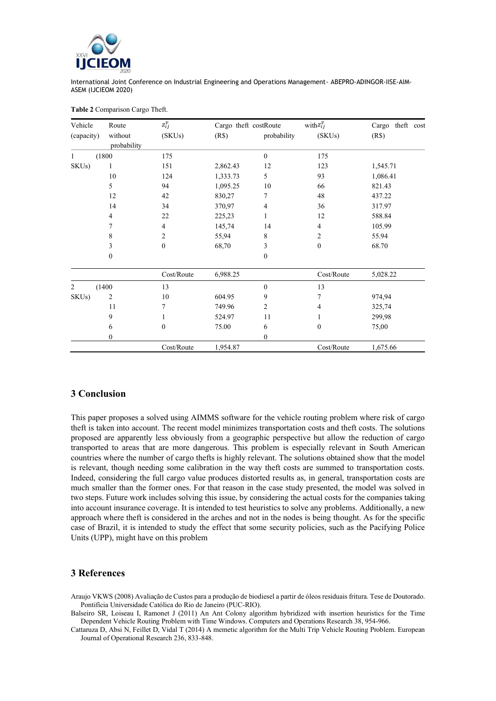

| Vehicle                              | Route            | $z_{ij}^v$       | Cargo theft costRoute |              | with $z_{ij}^v$  | Cargo theft cost |  |  |
|--------------------------------------|------------------|------------------|-----------------------|--------------|------------------|------------------|--|--|
| without<br>(capacity)<br>probability |                  | (SKUs)           | (R\$)                 | probability  | (SKUs)           | (R\$)            |  |  |
| $\mathbf{1}$                         | (1800)           | 175              |                       | $\mathbf{0}$ | 175              |                  |  |  |
| SKUs)                                |                  | 151              | 2,862.43              | 12           | 123              | 1,545.71         |  |  |
|                                      | 10               | 124              | 1,333.73              | 5            | 93               | 1,086.41         |  |  |
|                                      | 5                | 94               | 1,095.25              | 10           | 66               | 821.43           |  |  |
|                                      | 12               | 42               | 830,27                | 7            | 48               | 437.22           |  |  |
|                                      | 14               | 34               | 370,97                | 4            | 36               | 317.97           |  |  |
|                                      | 4                | 22               | 225,23                |              | 12               | 588.84           |  |  |
|                                      | 7                | 4                | 145,74                | 14           | 4                | 105.99           |  |  |
|                                      | 8                | 2                | 55,94                 | 8            | 2                | 55.94            |  |  |
|                                      | 3                | $\mathbf{0}$     | 68,70                 | 3            | $\boldsymbol{0}$ | 68.70            |  |  |
|                                      | $\boldsymbol{0}$ |                  |                       | $\mathbf{0}$ |                  |                  |  |  |
|                                      |                  | Cost/Route       | 6,988.25              |              | Cost/Route       | 5,028.22         |  |  |
| $\overline{2}$                       | (1400)           | 13               |                       | $\mathbf{0}$ | 13               |                  |  |  |
| SKUs)                                | 2                | 10               | 604.95                | 9            | 7                | 974,94           |  |  |
|                                      | 11               | 7                | 749.96                | 2            | 4                | 325,74           |  |  |
|                                      | 9                |                  | 524.97                | 11           | 1                | 299,98           |  |  |
|                                      | 6                | $\boldsymbol{0}$ | 75.00                 | 6            | $\boldsymbol{0}$ | 75,00            |  |  |
|                                      | $\boldsymbol{0}$ |                  |                       | $\mathbf{0}$ |                  |                  |  |  |
|                                      |                  | Cost/Route       | 1,954.87              |              | Cost/Route       | 1,675.66         |  |  |

#### **Table 2** Comparison Cargo Theft.

# **3 Conclusion**

This paper proposes a solved using AIMMS software for the vehicle routing problem where risk of cargo theft is taken into account. The recent model minimizes transportation costs and theft costs. The solutions proposed are apparently less obviously from a geographic perspective but allow the reduction of cargo transported to areas that are more dangerous. This problem is especially relevant in South American countries where the number of cargo thefts is highly relevant. The solutions obtained show that the model is relevant, though needing some calibration in the way theft costs are summed to transportation costs. Indeed, considering the full cargo value produces distorted results as, in general, transportation costs are much smaller than the former ones. For that reason in the case study presented, the model was solved in two steps. Future work includes solving this issue, by considering the actual costs for the companies taking into account insurance coverage. It is intended to test heuristics to solve any problems. Additionally, a new approach where theft is considered in the arches and not in the nodes is being thought. As for the specific case of Brazil, it is intended to study the effect that some security policies, such as the Pacifying Police Units (UPP), might have on this problem

#### **3 References**

Araujo VKWS (2008) Avaliação de Custos para a produção de biodiesel a partir de óleos residuais fritura. Tese de Doutorado. Pontifícia Universidade Católica do Rio de Janeiro (PUC-RIO).

Balseiro SR, Loiseau I, Ramonet J (2011) An Ant Colony algorithm hybridized with insertion heuristics for the Time Dependent Vehicle Routing Problem with Time Windows. Computers and Operations Research 38, 954-966.

Cattaruza D, Absi N, Feillet D, Vidal T (2014) A memetic algorithm for the Multi Trip Vehicle Routing Problem. European Journal of Operational Research 236, 833-848.